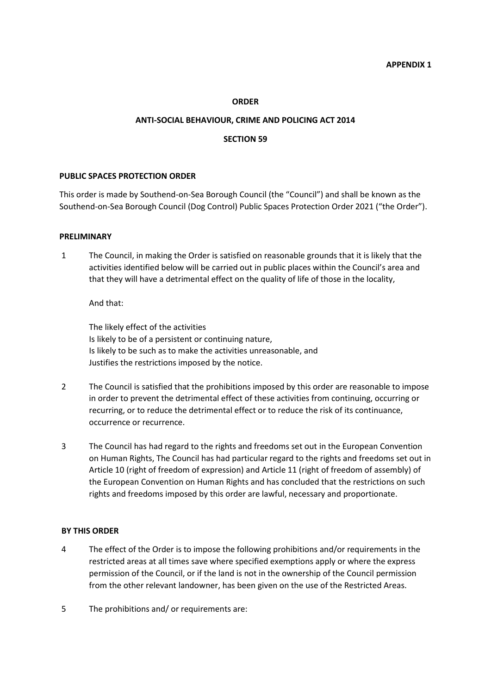#### **ORDER**

#### **ANTI-SOCIAL BEHAVIOUR, CRIME AND POLICING ACT 2014**

### **SECTION 59**

#### **PUBLIC SPACES PROTECTION ORDER**

This order is made by Southend-on-Sea Borough Council (the "Council") and shall be known as the Southend-on-Sea Borough Council (Dog Control) Public Spaces Protection Order 2021 ("the Order").

#### **PRELIMINARY**

1 The Council, in making the Order is satisfied on reasonable grounds that it is likely that the activities identified below will be carried out in public places within the Council's area and that they will have a detrimental effect on the quality of life of those in the locality,

#### And that:

The likely effect of the activities Is likely to be of a persistent or continuing nature, Is likely to be such as to make the activities unreasonable, and Justifies the restrictions imposed by the notice.

- 2 The Council is satisfied that the prohibitions imposed by this order are reasonable to impose in order to prevent the detrimental effect of these activities from continuing, occurring or recurring, or to reduce the detrimental effect or to reduce the risk of its continuance, occurrence or recurrence.
- 3 The Council has had regard to the rights and freedoms set out in the European Convention on Human Rights, The Council has had particular regard to the rights and freedoms set out in Article 10 (right of freedom of expression) and Article 11 (right of freedom of assembly) of the European Convention on Human Rights and has concluded that the restrictions on such rights and freedoms imposed by this order are lawful, necessary and proportionate.

#### **BY THIS ORDER**

- 4 The effect of the Order is to impose the following prohibitions and/or requirements in the restricted areas at all times save where specified exemptions apply or where the express permission of the Council, or if the land is not in the ownership of the Council permission from the other relevant landowner, has been given on the use of the Restricted Areas.
- 5 The prohibitions and/ or requirements are: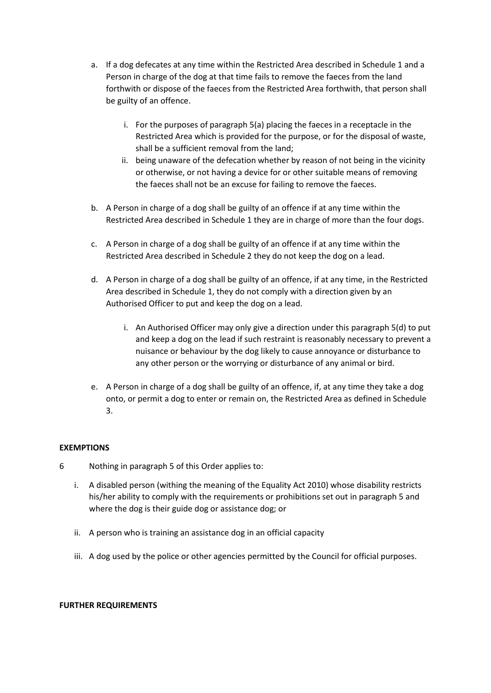- a. If a dog defecates at any time within the Restricted Area described in Schedule 1 and a Person in charge of the dog at that time fails to remove the faeces from the land forthwith or dispose of the faeces from the Restricted Area forthwith, that person shall be guilty of an offence.
	- i. For the purposes of paragraph 5(a) placing the faeces in a receptacle in the Restricted Area which is provided for the purpose, or for the disposal of waste, shall be a sufficient removal from the land;
	- ii. being unaware of the defecation whether by reason of not being in the vicinity or otherwise, or not having a device for or other suitable means of removing the faeces shall not be an excuse for failing to remove the faeces.
- b. A Person in charge of a dog shall be guilty of an offence if at any time within the Restricted Area described in Schedule 1 they are in charge of more than the four dogs.
- c. A Person in charge of a dog shall be guilty of an offence if at any time within the Restricted Area described in Schedule 2 they do not keep the dog on a lead.
- d. A Person in charge of a dog shall be guilty of an offence, if at any time, in the Restricted Area described in Schedule 1, they do not comply with a direction given by an Authorised Officer to put and keep the dog on a lead.
	- i. An Authorised Officer may only give a direction under this paragraph 5(d) to put and keep a dog on the lead if such restraint is reasonably necessary to prevent a nuisance or behaviour by the dog likely to cause annoyance or disturbance to any other person or the worrying or disturbance of any animal or bird.
- e. A Person in charge of a dog shall be guilty of an offence, if, at any time they take a dog onto, or permit a dog to enter or remain on, the Restricted Area as defined in Schedule 3.

# **EXEMPTIONS**

- 6 Nothing in paragraph 5 of this Order applies to:
	- i. A disabled person (withing the meaning of the Equality Act 2010) whose disability restricts his/her ability to comply with the requirements or prohibitions set out in paragraph 5 and where the dog is their guide dog or assistance dog; or
	- ii. A person who is training an assistance dog in an official capacity
	- iii. A dog used by the police or other agencies permitted by the Council for official purposes.

## **FURTHER REQUIREMENTS**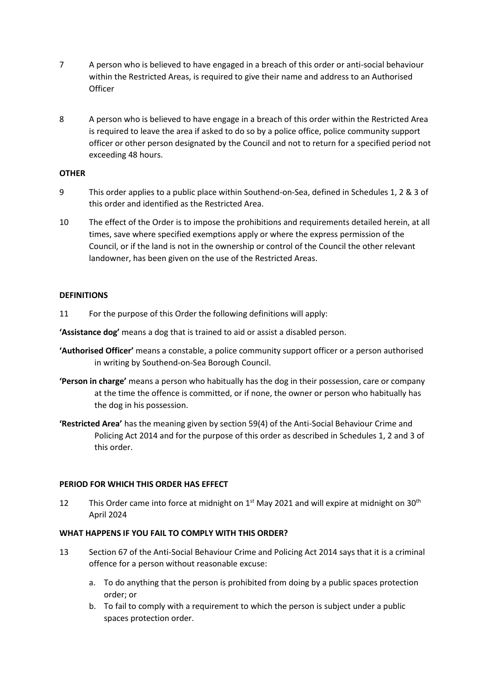- 7 A person who is believed to have engaged in a breach of this order or anti-social behaviour within the Restricted Areas, is required to give their name and address to an Authorised **Officer**
- 8 A person who is believed to have engage in a breach of this order within the Restricted Area is required to leave the area if asked to do so by a police office, police community support officer or other person designated by the Council and not to return for a specified period not exceeding 48 hours.

# **OTHER**

- 9 This order applies to a public place within Southend-on-Sea, defined in Schedules 1, 2 & 3 of this order and identified as the Restricted Area.
- 10 The effect of the Order is to impose the prohibitions and requirements detailed herein, at all times, save where specified exemptions apply or where the express permission of the Council, or if the land is not in the ownership or control of the Council the other relevant landowner, has been given on the use of the Restricted Areas.

# **DEFINITIONS**

11 For the purpose of this Order the following definitions will apply:

**'Assistance dog'** means a dog that is trained to aid or assist a disabled person.

- **'Authorised Officer'** means a constable, a police community support officer or a person authorised in writing by Southend-on-Sea Borough Council.
- **'Person in charge'** means a person who habitually has the dog in their possession, care or company at the time the offence is committed, or if none, the owner or person who habitually has the dog in his possession.
- **'Restricted Area'** has the meaning given by section 59(4) of the Anti-Social Behaviour Crime and Policing Act 2014 and for the purpose of this order as described in Schedules 1, 2 and 3 of this order.

## **PERIOD FOR WHICH THIS ORDER HAS EFFECT**

12 This Order came into force at midnight on 1<sup>st</sup> May 2021 and will expire at midnight on 30<sup>th</sup> April 2024

# **WHAT HAPPENS IF YOU FAIL TO COMPLY WITH THIS ORDER?**

- 13 Section 67 of the Anti-Social Behaviour Crime and Policing Act 2014 says that it is a criminal offence for a person without reasonable excuse:
	- a. To do anything that the person is prohibited from doing by a public spaces protection order; or
	- b. To fail to comply with a requirement to which the person is subject under a public spaces protection order.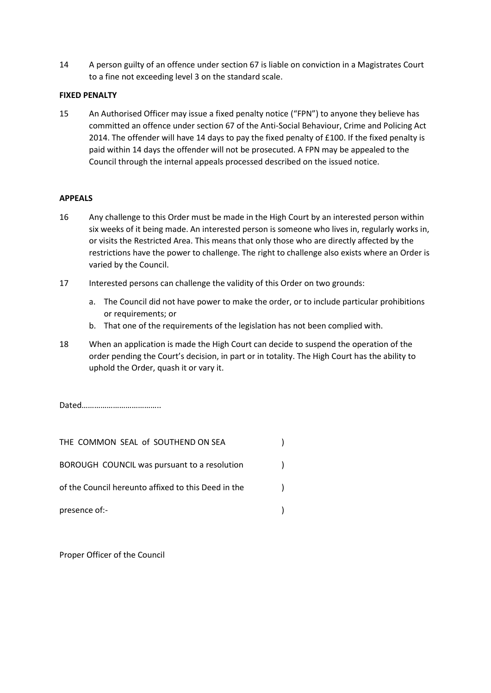14 A person guilty of an offence under section 67 is liable on conviction in a Magistrates Court to a fine not exceeding level 3 on the standard scale.

# **FIXED PENALTY**

15 An Authorised Officer may issue a fixed penalty notice ("FPN") to anyone they believe has committed an offence under section 67 of the Anti-Social Behaviour, Crime and Policing Act 2014. The offender will have 14 days to pay the fixed penalty of £100. If the fixed penalty is paid within 14 days the offender will not be prosecuted. A FPN may be appealed to the Council through the internal appeals processed described on the issued notice.

# **APPEALS**

- 16 Any challenge to this Order must be made in the High Court by an interested person within six weeks of it being made. An interested person is someone who lives in, regularly works in, or visits the Restricted Area. This means that only those who are directly affected by the restrictions have the power to challenge. The right to challenge also exists where an Order is varied by the Council.
- 17 Interested persons can challenge the validity of this Order on two grounds:
	- a. The Council did not have power to make the order, or to include particular prohibitions or requirements; or
	- b. That one of the requirements of the legislation has not been complied with.
- 18 When an application is made the High Court can decide to suspend the operation of the order pending the Court's decision, in part or in totality. The High Court has the ability to uphold the Order, quash it or vary it.

Dated………………………………..

| THE COMMON SEAL of SOUTHEND ON SEA                  |  |
|-----------------------------------------------------|--|
| BOROUGH COUNCIL was pursuant to a resolution        |  |
| of the Council hereunto affixed to this Deed in the |  |
| presence of:-                                       |  |

Proper Officer of the Council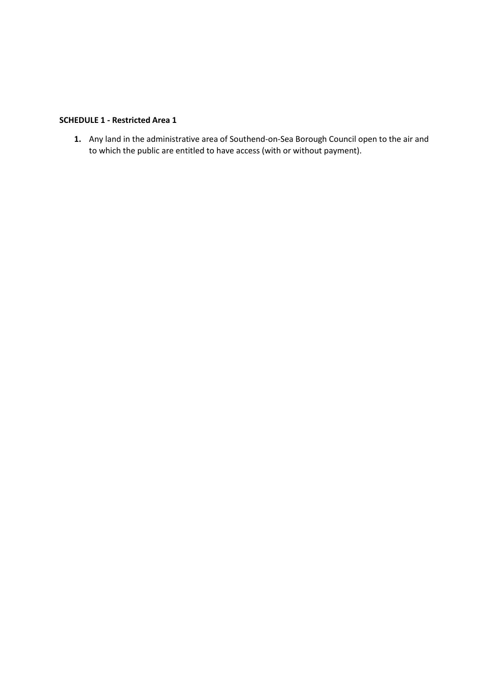# **SCHEDULE 1 - Restricted Area 1**

**1.** Any land in the administrative area of Southend-on-Sea Borough Council open to the air and to which the public are entitled to have access (with or without payment).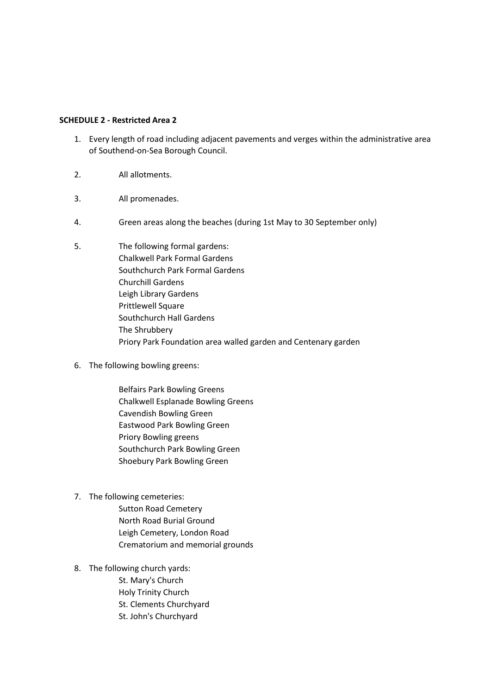## **SCHEDULE 2 - Restricted Area 2**

- 1. Every length of road including adjacent pavements and verges within the administrative area of Southend-on-Sea Borough Council.
- 2. All allotments.
- 3. All promenades.
- 4. Green areas along the beaches (during 1st May to 30 September only)
- 5. The following formal gardens: Chalkwell Park Formal Gardens Southchurch Park Formal Gardens Churchill Gardens Leigh Library Gardens Prittlewell Square Southchurch Hall Gardens The Shrubbery Priory Park Foundation area walled garden and Centenary garden
- 6. The following bowling greens:
	- Belfairs Park Bowling Greens Chalkwell Esplanade Bowling Greens Cavendish Bowling Green Eastwood Park Bowling Green Priory Bowling greens Southchurch Park Bowling Green Shoebury Park Bowling Green
- 7. The following cemeteries:
	- Sutton Road Cemetery North Road Burial Ground Leigh Cemetery, London Road Crematorium and memorial grounds
- 8. The following church yards:
	- St. Mary's Church Holy Trinity Church St. Clements Churchyard St. John's Churchyard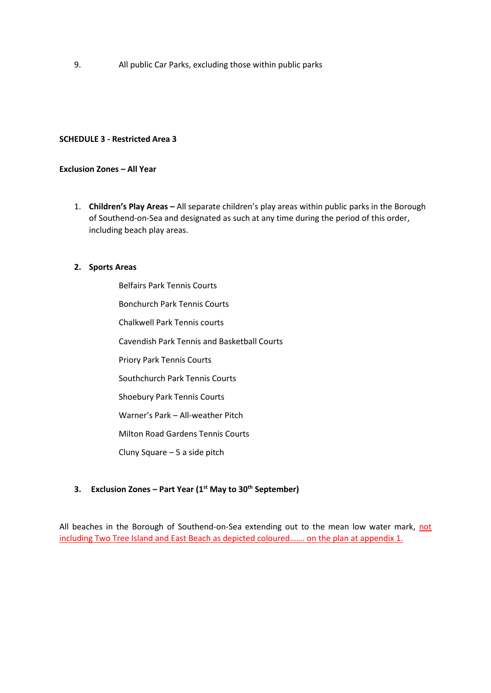9. All public Car Parks, excluding those within public parks

### **SCHEDULE 3 - Restricted Area 3**

### **Exclusion Zones – All Year**

1. **Children's Play Areas –** All separate children's play areas within public parks in the Borough of Southend-on-Sea and designated as such at any time during the period of this order, including beach play areas.

#### **2. Sports Areas**

Belfairs Park Tennis Courts Bonchurch Park Tennis Courts Chalkwell Park Tennis courts Cavendish Park Tennis and Basketball Courts Priory Park Tennis Courts Southchurch Park Tennis Courts Shoebury Park Tennis Courts Warner's Park – All-weather Pitch Milton Road Gardens Tennis Courts Cluny Square – 5 a side pitch

## **3. Exclusion Zones – Part Year (1st May to 30th September)**

All beaches in the Borough of Southend-on-Sea extending out to the mean low water mark, not including Two Tree Island and East Beach as depicted coloured……. on the plan at appendix 1.